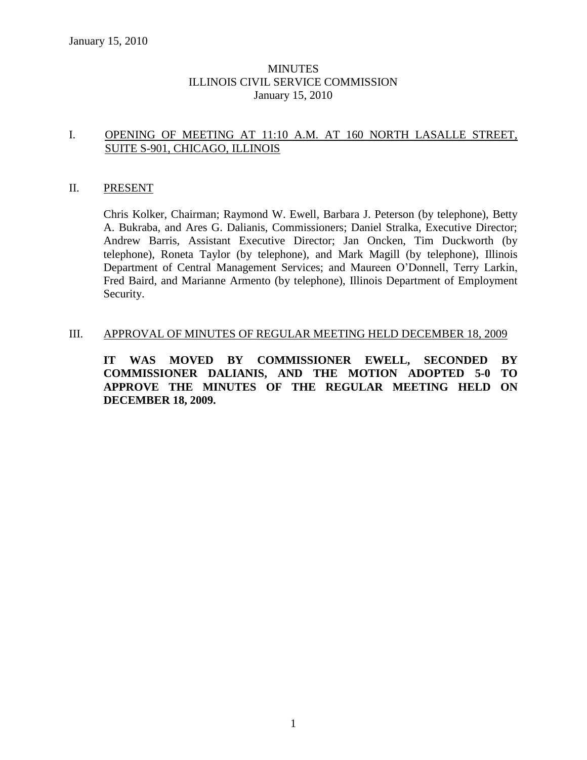# MINUTES ILLINOIS CIVIL SERVICE COMMISSION January 15, 2010

# I. OPENING OF MEETING AT 11:10 A.M. AT 160 NORTH LASALLE STREET, SUITE S-901, CHICAGO, ILLINOIS

#### II. PRESENT

Chris Kolker, Chairman; Raymond W. Ewell, Barbara J. Peterson (by telephone), Betty A. Bukraba, and Ares G. Dalianis, Commissioners; Daniel Stralka, Executive Director; Andrew Barris, Assistant Executive Director; Jan Oncken, Tim Duckworth (by telephone), Roneta Taylor (by telephone), and Mark Magill (by telephone), Illinois Department of Central Management Services; and Maureen O'Donnell, Terry Larkin, Fred Baird, and Marianne Armento (by telephone), Illinois Department of Employment Security.

#### III. APPROVAL OF MINUTES OF REGULAR MEETING HELD DECEMBER 18, 2009

**IT WAS MOVED BY COMMISSIONER EWELL, SECONDED BY COMMISSIONER DALIANIS, AND THE MOTION ADOPTED 5-0 TO APPROVE THE MINUTES OF THE REGULAR MEETING HELD ON DECEMBER 18, 2009.**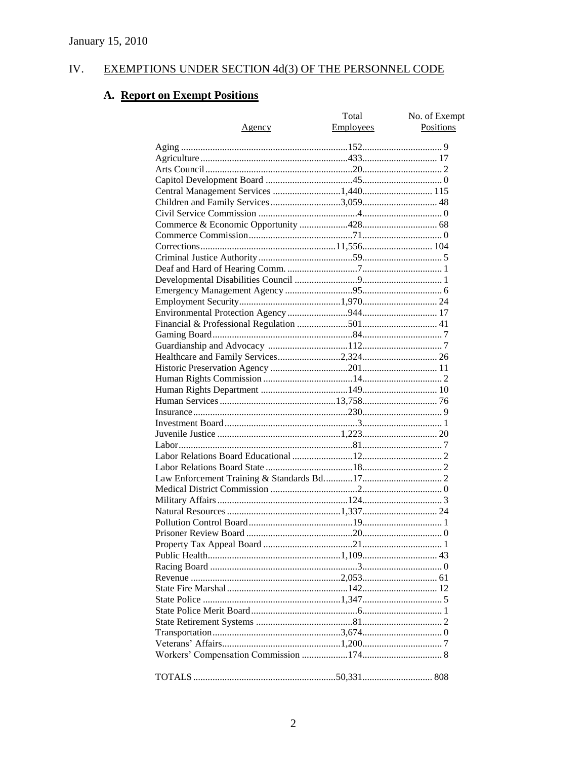#### IV. **EXEMPTIONS UNDER SECTION 4d(3) OF THE PERSONNEL CODE**

# A. Report on Exempt Positions

| <u>Agency</u> | Total<br><b>Employees</b> | No. of Exempt<br>Positions |
|---------------|---------------------------|----------------------------|
|               |                           |                            |
|               |                           |                            |
|               |                           |                            |
|               |                           |                            |
|               |                           |                            |
|               |                           |                            |
|               |                           |                            |
|               |                           |                            |
|               |                           |                            |
|               |                           |                            |
|               |                           |                            |
|               |                           |                            |
|               |                           |                            |
|               |                           |                            |
|               |                           |                            |
|               |                           |                            |
|               |                           |                            |
|               |                           |                            |
|               |                           |                            |
|               |                           |                            |
|               |                           |                            |
|               |                           |                            |
|               |                           |                            |
|               |                           |                            |
|               |                           |                            |
|               |                           |                            |
|               |                           |                            |
|               |                           |                            |
|               |                           |                            |
|               |                           |                            |
|               |                           |                            |
|               |                           |                            |
|               |                           |                            |
|               |                           |                            |
|               |                           |                            |
|               |                           |                            |
|               |                           |                            |
|               |                           |                            |
|               |                           |                            |
|               |                           |                            |
|               |                           |                            |
|               |                           |                            |
|               |                           |                            |
|               |                           |                            |
|               |                           |                            |
|               |                           |                            |
|               |                           |                            |
|               |                           |                            |
|               |                           |                            |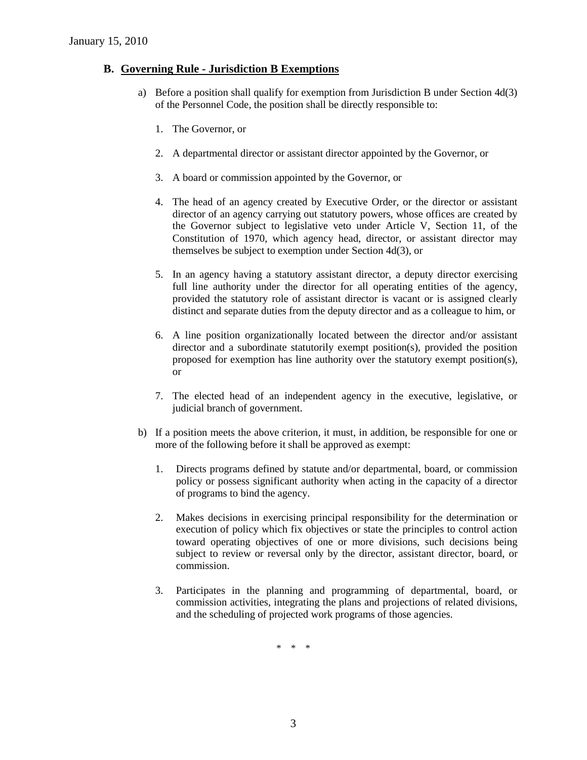### **B. Governing Rule - Jurisdiction B Exemptions**

- a) Before a position shall qualify for exemption from Jurisdiction B under Section 4d(3) of the Personnel Code, the position shall be directly responsible to:
	- 1. The Governor, or
	- 2. A departmental director or assistant director appointed by the Governor, or
	- 3. A board or commission appointed by the Governor, or
	- 4. The head of an agency created by Executive Order, or the director or assistant director of an agency carrying out statutory powers, whose offices are created by the Governor subject to legislative veto under Article V, Section 11, of the Constitution of 1970, which agency head, director, or assistant director may themselves be subject to exemption under Section 4d(3), or
	- 5. In an agency having a statutory assistant director, a deputy director exercising full line authority under the director for all operating entities of the agency, provided the statutory role of assistant director is vacant or is assigned clearly distinct and separate duties from the deputy director and as a colleague to him, or
	- 6. A line position organizationally located between the director and/or assistant director and a subordinate statutorily exempt position(s), provided the position proposed for exemption has line authority over the statutory exempt position(s), or
	- 7. The elected head of an independent agency in the executive, legislative, or judicial branch of government.
- b) If a position meets the above criterion, it must, in addition, be responsible for one or more of the following before it shall be approved as exempt:
	- 1. Directs programs defined by statute and/or departmental, board, or commission policy or possess significant authority when acting in the capacity of a director of programs to bind the agency.
	- 2. Makes decisions in exercising principal responsibility for the determination or execution of policy which fix objectives or state the principles to control action toward operating objectives of one or more divisions, such decisions being subject to review or reversal only by the director, assistant director, board, or commission.
	- 3. Participates in the planning and programming of departmental, board, or commission activities, integrating the plans and projections of related divisions, and the scheduling of projected work programs of those agencies.

\* \* \*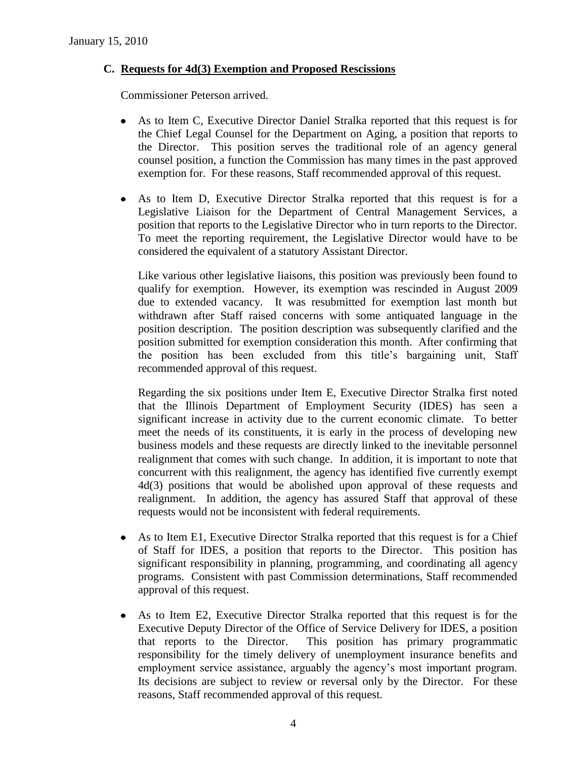# **C. Requests for 4d(3) Exemption and Proposed Rescissions**

Commissioner Peterson arrived.

- As to Item C, Executive Director Daniel Stralka reported that this request is for the Chief Legal Counsel for the Department on Aging, a position that reports to the Director. This position serves the traditional role of an agency general counsel position, a function the Commission has many times in the past approved exemption for. For these reasons, Staff recommended approval of this request.
- As to Item D, Executive Director Stralka reported that this request is for a Legislative Liaison for the Department of Central Management Services, a position that reports to the Legislative Director who in turn reports to the Director. To meet the reporting requirement, the Legislative Director would have to be considered the equivalent of a statutory Assistant Director.

Like various other legislative liaisons, this position was previously been found to qualify for exemption. However, its exemption was rescinded in August 2009 due to extended vacancy. It was resubmitted for exemption last month but withdrawn after Staff raised concerns with some antiquated language in the position description. The position description was subsequently clarified and the position submitted for exemption consideration this month. After confirming that the position has been excluded from this title's bargaining unit, Staff recommended approval of this request.

Regarding the six positions under Item E, Executive Director Stralka first noted that the Illinois Department of Employment Security (IDES) has seen a significant increase in activity due to the current economic climate. To better meet the needs of its constituents, it is early in the process of developing new business models and these requests are directly linked to the inevitable personnel realignment that comes with such change. In addition, it is important to note that concurrent with this realignment, the agency has identified five currently exempt 4d(3) positions that would be abolished upon approval of these requests and realignment. In addition, the agency has assured Staff that approval of these requests would not be inconsistent with federal requirements.

- As to Item E1, Executive Director Stralka reported that this request is for a Chief of Staff for IDES, a position that reports to the Director. This position has significant responsibility in planning, programming, and coordinating all agency programs. Consistent with past Commission determinations, Staff recommended approval of this request.
- As to Item E2, Executive Director Stralka reported that this request is for the Executive Deputy Director of the Office of Service Delivery for IDES, a position that reports to the Director. This position has primary programmatic responsibility for the timely delivery of unemployment insurance benefits and employment service assistance, arguably the agency's most important program. Its decisions are subject to review or reversal only by the Director. For these reasons, Staff recommended approval of this request.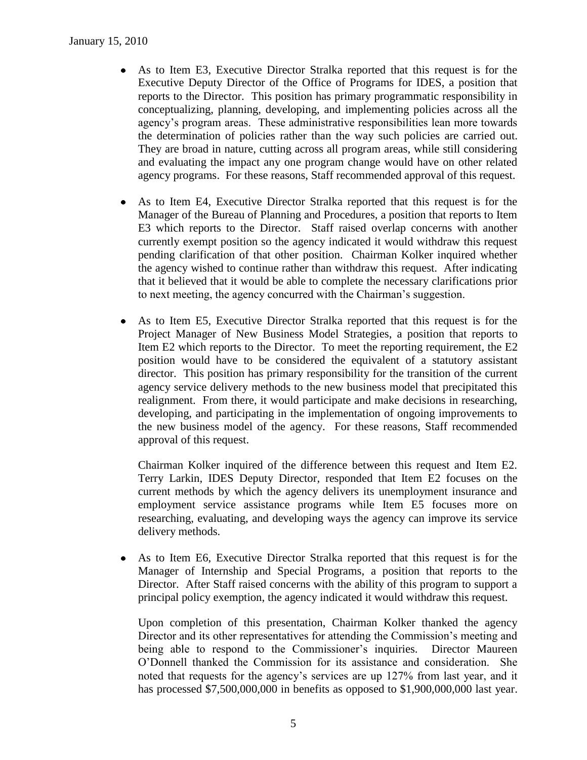- As to Item E3, Executive Director Stralka reported that this request is for the Executive Deputy Director of the Office of Programs for IDES, a position that reports to the Director. This position has primary programmatic responsibility in conceptualizing, planning, developing, and implementing policies across all the agency's program areas. These administrative responsibilities lean more towards the determination of policies rather than the way such policies are carried out. They are broad in nature, cutting across all program areas, while still considering and evaluating the impact any one program change would have on other related agency programs. For these reasons, Staff recommended approval of this request.
- $\bullet$ As to Item E4, Executive Director Stralka reported that this request is for the Manager of the Bureau of Planning and Procedures, a position that reports to Item E3 which reports to the Director. Staff raised overlap concerns with another currently exempt position so the agency indicated it would withdraw this request pending clarification of that other position. Chairman Kolker inquired whether the agency wished to continue rather than withdraw this request. After indicating that it believed that it would be able to complete the necessary clarifications prior to next meeting, the agency concurred with the Chairman's suggestion.
- $\bullet$ As to Item E5, Executive Director Stralka reported that this request is for the Project Manager of New Business Model Strategies, a position that reports to Item E2 which reports to the Director. To meet the reporting requirement, the E2 position would have to be considered the equivalent of a statutory assistant director. This position has primary responsibility for the transition of the current agency service delivery methods to the new business model that precipitated this realignment. From there, it would participate and make decisions in researching, developing, and participating in the implementation of ongoing improvements to the new business model of the agency. For these reasons, Staff recommended approval of this request.

Chairman Kolker inquired of the difference between this request and Item E2. Terry Larkin, IDES Deputy Director, responded that Item E2 focuses on the current methods by which the agency delivers its unemployment insurance and employment service assistance programs while Item E5 focuses more on researching, evaluating, and developing ways the agency can improve its service delivery methods.

 $\bullet$ As to Item E6, Executive Director Stralka reported that this request is for the Manager of Internship and Special Programs, a position that reports to the Director. After Staff raised concerns with the ability of this program to support a principal policy exemption, the agency indicated it would withdraw this request.

Upon completion of this presentation, Chairman Kolker thanked the agency Director and its other representatives for attending the Commission's meeting and being able to respond to the Commissioner's inquiries. Director Maureen O'Donnell thanked the Commission for its assistance and consideration. She noted that requests for the agency's services are up 127% from last year, and it has processed \$7,500,000,000 in benefits as opposed to \$1,900,000,000 last year.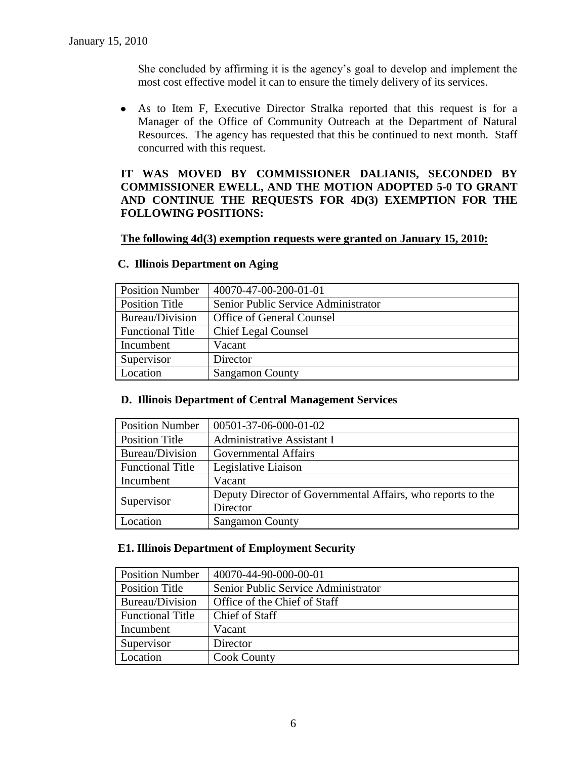She concluded by affirming it is the agency's goal to develop and implement the most cost effective model it can to ensure the timely delivery of its services.

As to Item F, Executive Director Stralka reported that this request is for a Manager of the Office of Community Outreach at the Department of Natural Resources. The agency has requested that this be continued to next month. Staff concurred with this request.

# **IT WAS MOVED BY COMMISSIONER DALIANIS, SECONDED BY COMMISSIONER EWELL, AND THE MOTION ADOPTED 5-0 TO GRANT AND CONTINUE THE REQUESTS FOR 4D(3) EXEMPTION FOR THE FOLLOWING POSITIONS:**

#### **The following 4d(3) exemption requests were granted on January 15, 2010:**

| <b>Position Number</b>  | 40070-47-00-200-01-01               |
|-------------------------|-------------------------------------|
| Position Title          | Senior Public Service Administrator |
| Bureau/Division         | Office of General Counsel           |
| <b>Functional Title</b> | <b>Chief Legal Counsel</b>          |
| Incumbent               | Vacant                              |
| Supervisor              | Director                            |
| Location                | <b>Sangamon County</b>              |

### **C. Illinois Department on Aging**

#### **D. Illinois Department of Central Management Services**

| <b>Position Number</b>  | 00501-37-06-000-01-02                                       |
|-------------------------|-------------------------------------------------------------|
| <b>Position Title</b>   | Administrative Assistant I                                  |
| Bureau/Division         | <b>Governmental Affairs</b>                                 |
| <b>Functional Title</b> | Legislative Liaison                                         |
| Incumbent               | Vacant                                                      |
| Supervisor              | Deputy Director of Governmental Affairs, who reports to the |
|                         | Director                                                    |
| Location                | <b>Sangamon County</b>                                      |

#### **E1. Illinois Department of Employment Security**

| <b>Position Number</b>  | 40070-44-90-000-00-01               |
|-------------------------|-------------------------------------|
| Position Title          | Senior Public Service Administrator |
| Bureau/Division         | Office of the Chief of Staff        |
| <b>Functional Title</b> | Chief of Staff                      |
| Incumbent               | Vacant                              |
| Supervisor              | Director                            |
| Location                | <b>Cook County</b>                  |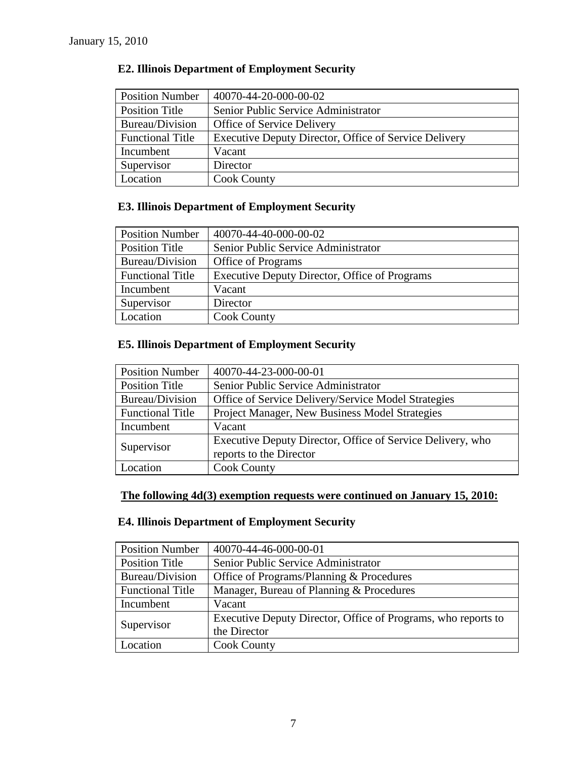| <b>Position Number</b>  | 40070-44-20-000-00-02                                 |
|-------------------------|-------------------------------------------------------|
| <b>Position Title</b>   | Senior Public Service Administrator                   |
| Bureau/Division         | <b>Office of Service Delivery</b>                     |
| <b>Functional Title</b> | Executive Deputy Director, Office of Service Delivery |
| Incumbent               | Vacant                                                |
| Supervisor              | Director                                              |
| Location                | <b>Cook County</b>                                    |

# **E2. Illinois Department of Employment Security**

# **E3. Illinois Department of Employment Security**

| <b>Position Number</b>  | 40070-44-40-000-00-02                         |
|-------------------------|-----------------------------------------------|
| Position Title          | Senior Public Service Administrator           |
| Bureau/Division         | <b>Office of Programs</b>                     |
| <b>Functional Title</b> | Executive Deputy Director, Office of Programs |
| Incumbent               | Vacant                                        |
| Supervisor              | Director                                      |
| Location                | <b>Cook County</b>                            |

# **E5. Illinois Department of Employment Security**

| <b>Position Number</b>  | 40070-44-23-000-00-01                                      |
|-------------------------|------------------------------------------------------------|
| <b>Position Title</b>   | Senior Public Service Administrator                        |
| Bureau/Division         | Office of Service Delivery/Service Model Strategies        |
| <b>Functional Title</b> | Project Manager, New Business Model Strategies             |
| Incumbent               | Vacant                                                     |
| Supervisor              | Executive Deputy Director, Office of Service Delivery, who |
|                         | reports to the Director                                    |
| Location                | <b>Cook County</b>                                         |

# **The following 4d(3) exemption requests were continued on January 15, 2010:**

# **E4. Illinois Department of Employment Security**

| <b>Position Number</b>  | 40070-44-46-000-00-01                                         |
|-------------------------|---------------------------------------------------------------|
| <b>Position Title</b>   | Senior Public Service Administrator                           |
| Bureau/Division         | Office of Programs/Planning & Procedures                      |
| <b>Functional Title</b> | Manager, Bureau of Planning & Procedures                      |
| Incumbent               | Vacant                                                        |
| Supervisor              | Executive Deputy Director, Office of Programs, who reports to |
|                         | the Director                                                  |
| Location                | <b>Cook County</b>                                            |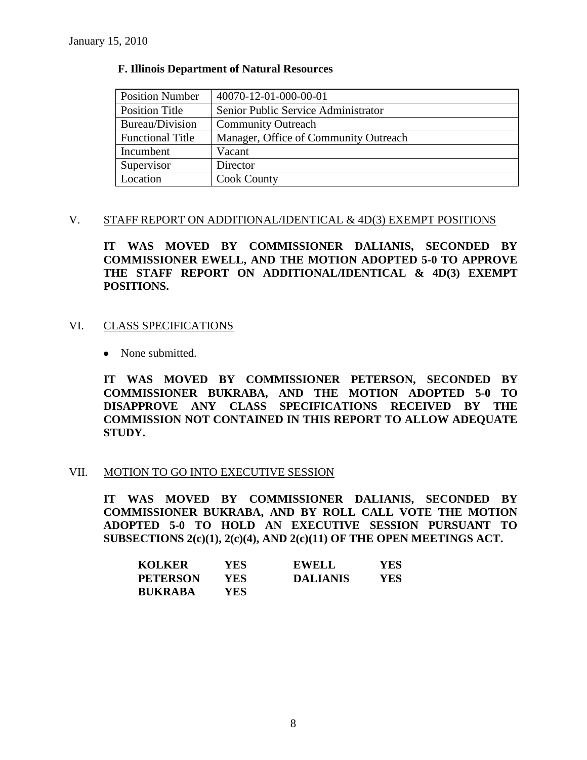### **F. Illinois Department of Natural Resources**

| <b>Position Number</b>  | 40070-12-01-000-00-01                 |
|-------------------------|---------------------------------------|
| Position Title          | Senior Public Service Administrator   |
| Bureau/Division         | <b>Community Outreach</b>             |
| <b>Functional Title</b> | Manager, Office of Community Outreach |
| Incumbent               | Vacant                                |
| Supervisor              | Director                              |
| Location                | <b>Cook County</b>                    |

#### V. STAFF REPORT ON ADDITIONAL/IDENTICAL & 4D(3) EXEMPT POSITIONS

**IT WAS MOVED BY COMMISSIONER DALIANIS, SECONDED BY COMMISSIONER EWELL, AND THE MOTION ADOPTED 5-0 TO APPROVE THE STAFF REPORT ON ADDITIONAL/IDENTICAL & 4D(3) EXEMPT POSITIONS.**

#### VI. CLASS SPECIFICATIONS

• None submitted.

**IT WAS MOVED BY COMMISSIONER PETERSON, SECONDED BY COMMISSIONER BUKRABA, AND THE MOTION ADOPTED 5-0 TO DISAPPROVE ANY CLASS SPECIFICATIONS RECEIVED BY THE COMMISSION NOT CONTAINED IN THIS REPORT TO ALLOW ADEQUATE STUDY.** 

#### VII. MOTION TO GO INTO EXECUTIVE SESSION

**IT WAS MOVED BY COMMISSIONER DALIANIS, SECONDED BY COMMISSIONER BUKRABA, AND BY ROLL CALL VOTE THE MOTION ADOPTED 5-0 TO HOLD AN EXECUTIVE SESSION PURSUANT TO SUBSECTIONS 2(c)(1), 2(c)(4), AND 2(c)(11) OF THE OPEN MEETINGS ACT.** 

| <b>KOLKER</b>   | YES.       | <b>EWELL</b>    | <b>YES</b> |
|-----------------|------------|-----------------|------------|
| <b>PETERSON</b> | YES.       | <b>DALIANIS</b> | YES        |
| <b>BUKRABA</b>  | <b>YES</b> |                 |            |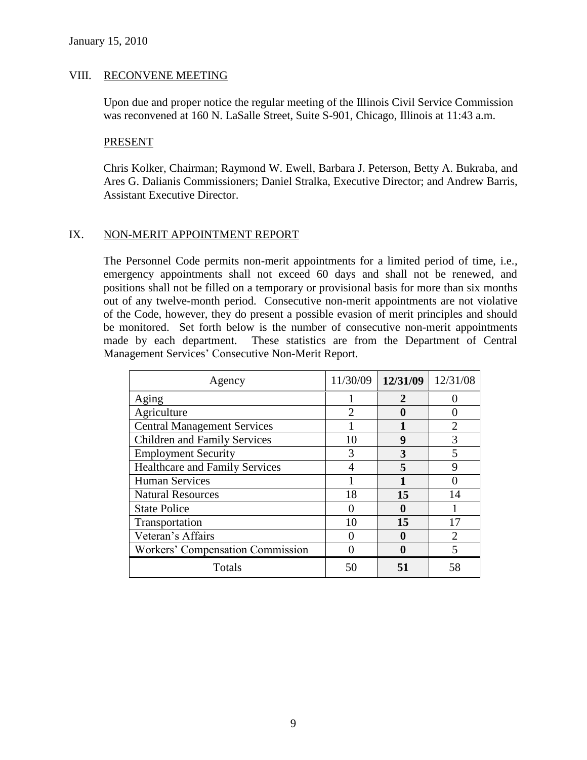#### VIII. RECONVENE MEETING

Upon due and proper notice the regular meeting of the Illinois Civil Service Commission was reconvened at 160 N. LaSalle Street, Suite S-901, Chicago, Illinois at 11:43 a.m.

#### PRESENT

Chris Kolker, Chairman; Raymond W. Ewell, Barbara J. Peterson, Betty A. Bukraba, and Ares G. Dalianis Commissioners; Daniel Stralka, Executive Director; and Andrew Barris, Assistant Executive Director.

### IX. NON-MERIT APPOINTMENT REPORT

The Personnel Code permits non-merit appointments for a limited period of time, i.e., emergency appointments shall not exceed 60 days and shall not be renewed, and positions shall not be filled on a temporary or provisional basis for more than six months out of any twelve-month period. Consecutive non-merit appointments are not violative of the Code, however, they do present a possible evasion of merit principles and should be monitored. Set forth below is the number of consecutive non-merit appointments made by each department. These statistics are from the Department of Central Management Services' Consecutive Non-Merit Report.

| Agency                                  | 11/30/09 | 12/31/09 | 12/31/08                    |
|-----------------------------------------|----------|----------|-----------------------------|
| Aging                                   |          | 2        |                             |
| Agriculture                             |          |          |                             |
| <b>Central Management Services</b>      |          |          | $\mathcal{D}_{\mathcal{L}}$ |
| <b>Children and Family Services</b>     | 10       | 9        |                             |
| <b>Employment Security</b>              | 3        | 3        |                             |
| <b>Healthcare and Family Services</b>   |          |          | Q                           |
| <b>Human Services</b>                   |          |          |                             |
| <b>Natural Resources</b>                | 18       | 15       | 14                          |
| <b>State Police</b>                     |          | O        |                             |
| Transportation                          | 10       | 15       |                             |
| Veteran's Affairs                       |          | 9        |                             |
| <b>Workers' Compensation Commission</b> |          | 0        |                             |
| Totals                                  | 50       | 51       | 58                          |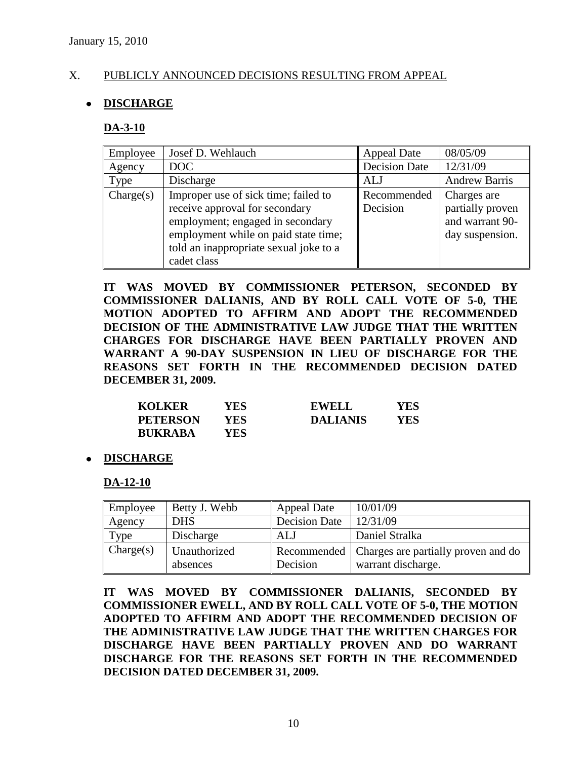# X. PUBLICLY ANNOUNCED DECISIONS RESULTING FROM APPEAL

# **DISCHARGE**

#### **DA-3-10**

| Employee  | Josef D. Wehlauch                      | <b>Appeal Date</b>   | 08/05/09             |
|-----------|----------------------------------------|----------------------|----------------------|
| Agency    | DOC                                    | <b>Decision Date</b> | 12/31/09             |
| Type      | Discharge                              | ALJ                  | <b>Andrew Barris</b> |
| Change(s) | Improper use of sick time; failed to   | Recommended          | Charges are          |
|           | receive approval for secondary         | Decision             | partially proven     |
|           | employment; engaged in secondary       |                      | and warrant 90-      |
|           | employment while on paid state time;   |                      | day suspension.      |
|           | told an inappropriate sexual joke to a |                      |                      |
|           | cadet class                            |                      |                      |

**IT WAS MOVED BY COMMISSIONER PETERSON, SECONDED BY COMMISSIONER DALIANIS, AND BY ROLL CALL VOTE OF 5-0, THE MOTION ADOPTED TO AFFIRM AND ADOPT THE RECOMMENDED DECISION OF THE ADMINISTRATIVE LAW JUDGE THAT THE WRITTEN CHARGES FOR DISCHARGE HAVE BEEN PARTIALLY PROVEN AND WARRANT A 90-DAY SUSPENSION IN LIEU OF DISCHARGE FOR THE REASONS SET FORTH IN THE RECOMMENDED DECISION DATED DECEMBER 31, 2009.**

| <b>KOLKER</b>   | YES  | <b>EWELL</b>    | YES |
|-----------------|------|-----------------|-----|
| <b>PETERSON</b> | YES. | <b>DALIANIS</b> | YES |
| <b>BUKRABA</b>  | YES- |                 |     |

#### **DISCHARGE**

#### **DA-12-10**

| Employee  | Betty J. Webb            | <b>Appeal Date</b>   | 10/01/09                                                                |
|-----------|--------------------------|----------------------|-------------------------------------------------------------------------|
| Agency    | <b>DHS</b>               | <b>Decision Date</b> | 12/31/09                                                                |
| Type      | Discharge                | ALJ                  | Daniel Stralka                                                          |
| Change(s) | Unauthorized<br>absences | Decision             | Recommended   Charges are partially proven and do<br>warrant discharge. |

**IT WAS MOVED BY COMMISSIONER DALIANIS, SECONDED BY COMMISSIONER EWELL, AND BY ROLL CALL VOTE OF 5-0, THE MOTION ADOPTED TO AFFIRM AND ADOPT THE RECOMMENDED DECISION OF THE ADMINISTRATIVE LAW JUDGE THAT THE WRITTEN CHARGES FOR DISCHARGE HAVE BEEN PARTIALLY PROVEN AND DO WARRANT DISCHARGE FOR THE REASONS SET FORTH IN THE RECOMMENDED DECISION DATED DECEMBER 31, 2009.**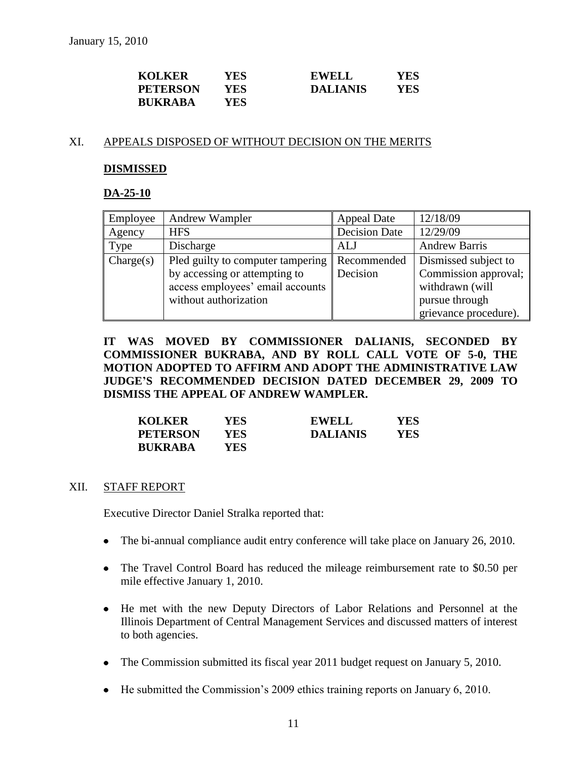| <b>KOLKER</b>   | YES        | EWELL           | YES |
|-----------------|------------|-----------------|-----|
| <b>PETERSON</b> | YES        | <b>DALIANIS</b> | YES |
| <b>BUKRABA</b>  | <b>YES</b> |                 |     |

#### XI. APPEALS DISPOSED OF WITHOUT DECISION ON THE MERITS

#### **DISMISSED**

#### **DA-25-10**

| Employee  | Andrew Wampler                    | <b>Appeal Date</b>   | 12/18/09              |
|-----------|-----------------------------------|----------------------|-----------------------|
| Agency    | <b>HFS</b>                        | <b>Decision Date</b> | 12/29/09              |
| Type      | Discharge                         | ALJ                  | <b>Andrew Barris</b>  |
| Change(s) | Pled guilty to computer tampering | Recommended          | Dismissed subject to  |
|           | by accessing or attempting to     | Decision             | Commission approval;  |
|           | access employees' email accounts  |                      | withdrawn (will       |
|           | without authorization             |                      | pursue through        |
|           |                                   |                      | grievance procedure). |

**IT WAS MOVED BY COMMISSIONER DALIANIS, SECONDED BY COMMISSIONER BUKRABA, AND BY ROLL CALL VOTE OF 5-0, THE MOTION ADOPTED TO AFFIRM AND ADOPT THE ADMINISTRATIVE LAW JUDGE'S RECOMMENDED DECISION DATED DECEMBER 29, 2009 TO DISMISS THE APPEAL OF ANDREW WAMPLER.**

| <b>KOLKER</b>   | <b>YES</b> | <b>EWELL</b>    | YES |
|-----------------|------------|-----------------|-----|
| <b>PETERSON</b> | YES        | <b>DALIANIS</b> | YES |
| <b>BUKRABA</b>  | YES.       |                 |     |

#### XII. STAFF REPORT

Executive Director Daniel Stralka reported that:

- The bi-annual compliance audit entry conference will take place on January 26, 2010.
- The Travel Control Board has reduced the mileage reimbursement rate to \$0.50 per mile effective January 1, 2010.
- He met with the new Deputy Directors of Labor Relations and Personnel at the Illinois Department of Central Management Services and discussed matters of interest to both agencies.
- The Commission submitted its fiscal year 2011 budget request on January 5, 2010.
- He submitted the Commission's 2009 ethics training reports on January 6, 2010.